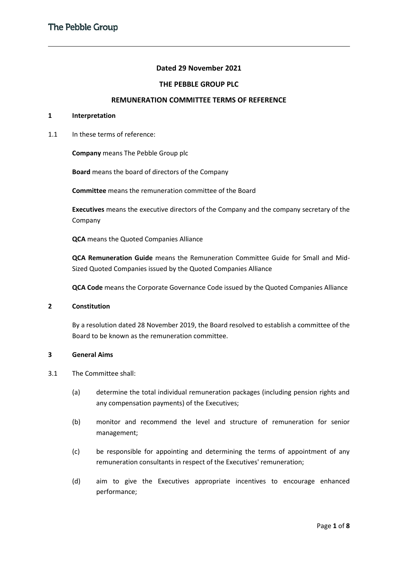# **Dated 29 November 2021**

## **THE PEBBLE GROUP PLC**

### **REMUNERATION COMMITTEE TERMS OF REFERENCE**

## **1 Interpretation**

1.1 In these terms of reference:

**Company** means The Pebble Group plc

**Board** means the board of directors of the Company

**Committee** means the remuneration committee of the Board

**Executives** means the executive directors of the Company and the company secretary of the Company

**QCA** means the Quoted Companies Alliance

**QCA Remuneration Guide** means the Remuneration Committee Guide for Small and Mid-Sized Quoted Companies issued by the Quoted Companies Alliance

**QCA Code** means the Corporate Governance Code issued by the Quoted Companies Alliance

### **2 Constitution**

By a resolution dated 28 November 2019, the Board resolved to establish a committee of the Board to be known as the remuneration committee.

### **3 General Aims**

- 3.1 The Committee shall:
	- (a) determine the total individual remuneration packages (including pension rights and any compensation payments) of the Executives;
	- (b) monitor and recommend the level and structure of remuneration for senior management;
	- (c) be responsible for appointing and determining the terms of appointment of any remuneration consultants in respect of the Executives' remuneration;
	- (d) aim to give the Executives appropriate incentives to encourage enhanced performance;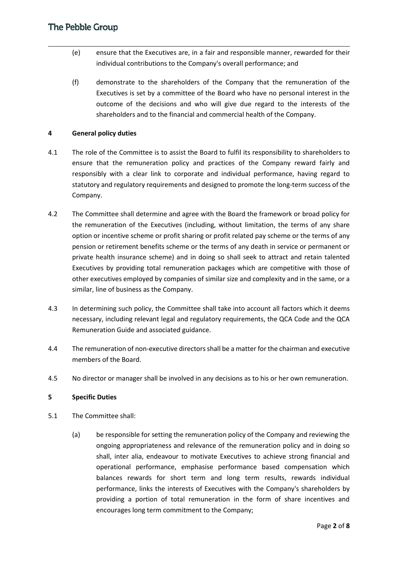- (e) ensure that the Executives are, in a fair and responsible manner, rewarded for their individual contributions to the Company's overall performance; and
- (f) demonstrate to the shareholders of the Company that the remuneration of the Executives is set by a committee of the Board who have no personal interest in the outcome of the decisions and who will give due regard to the interests of the shareholders and to the financial and commercial health of the Company.

## **4 General policy duties**

- 4.1 The role of the Committee is to assist the Board to fulfil its responsibility to shareholders to ensure that the remuneration policy and practices of the Company reward fairly and responsibly with a clear link to corporate and individual performance, having regard to statutory and regulatory requirements and designed to promote the long-term success of the Company.
- 4.2 The Committee shall determine and agree with the Board the framework or broad policy for the remuneration of the Executives (including, without limitation, the terms of any share option or incentive scheme or profit sharing or profit related pay scheme or the terms of any pension or retirement benefits scheme or the terms of any death in service or permanent or private health insurance scheme) and in doing so shall seek to attract and retain talented Executives by providing total remuneration packages which are competitive with those of other executives employed by companies of similar size and complexity and in the same, or a similar, line of business as the Company.
- 4.3 In determining such policy, the Committee shall take into account all factors which it deems necessary, including relevant legal and regulatory requirements, the QCA Code and the QCA Remuneration Guide and associated guidance.
- 4.4 The remuneration of non-executive directors shall be a matter for the chairman and executive members of the Board.
- 4.5 No director or manager shall be involved in any decisions as to his or her own remuneration.

## **5 Specific Duties**

- 5.1 The Committee shall:
	- (a) be responsible for setting the remuneration policy of the Company and reviewing the ongoing appropriateness and relevance of the remuneration policy and in doing so shall, inter alia, endeavour to motivate Executives to achieve strong financial and operational performance, emphasise performance based compensation which balances rewards for short term and long term results, rewards individual performance, links the interests of Executives with the Company's shareholders by providing a portion of total remuneration in the form of share incentives and encourages long term commitment to the Company;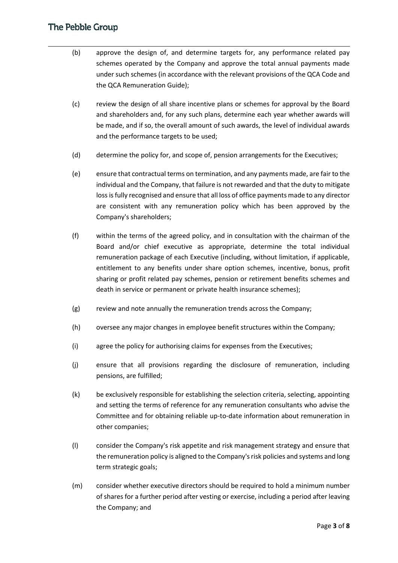- (b) approve the design of, and determine targets for, any performance related pay schemes operated by the Company and approve the total annual payments made under such schemes (in accordance with the relevant provisions of the QCA Code and the QCA Remuneration Guide);
- (c) review the design of all share incentive plans or schemes for approval by the Board and shareholders and, for any such plans, determine each year whether awards will be made, and if so, the overall amount of such awards, the level of individual awards and the performance targets to be used;
- (d) determine the policy for, and scope of, pension arrangements for the Executives;
- (e) ensure that contractual terms on termination, and any payments made, are fair to the individual and the Company, that failure is not rewarded and that the duty to mitigate loss is fully recognised and ensure that all loss of office payments made to any director are consistent with any remuneration policy which has been approved by the Company's shareholders;
- (f) within the terms of the agreed policy, and in consultation with the chairman of the Board and/or chief executive as appropriate, determine the total individual remuneration package of each Executive (including, without limitation, if applicable, entitlement to any benefits under share option schemes, incentive, bonus, profit sharing or profit related pay schemes, pension or retirement benefits schemes and death in service or permanent or private health insurance schemes);
- (g) review and note annually the remuneration trends across the Company;
- (h) oversee any major changes in employee benefit structures within the Company;
- (i) agree the policy for authorising claims for expenses from the Executives;
- (j) ensure that all provisions regarding the disclosure of remuneration, including pensions, are fulfilled;
- (k) be exclusively responsible for establishing the selection criteria, selecting, appointing and setting the terms of reference for any remuneration consultants who advise the Committee and for obtaining reliable up-to-date information about remuneration in other companies;
- (l) consider the Company's risk appetite and risk management strategy and ensure that the remuneration policy is aligned to the Company's risk policies and systems and long term strategic goals;
- (m) consider whether executive directors should be required to hold a minimum number of shares for a further period after vesting or exercise, including a period after leaving the Company; and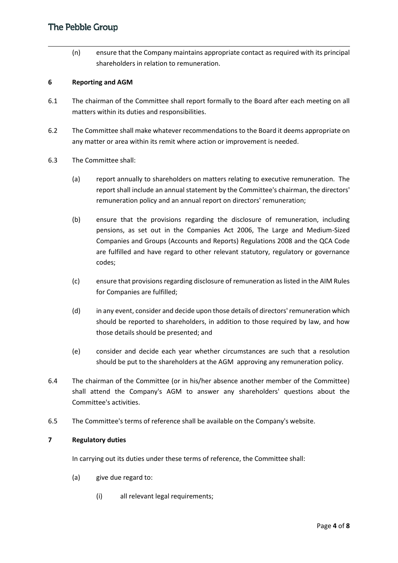(n) ensure that the Company maintains appropriate contact as required with its principal shareholders in relation to remuneration.

## **6 Reporting and AGM**

- 6.1 The chairman of the Committee shall report formally to the Board after each meeting on all matters within its duties and responsibilities.
- 6.2 The Committee shall make whatever recommendations to the Board it deems appropriate on any matter or area within its remit where action or improvement is needed.
- 6.3 The Committee shall:
	- (a) report annually to shareholders on matters relating to executive remuneration. The report shall include an annual statement by the Committee's chairman, the directors' remuneration policy and an annual report on directors' remuneration;
	- (b) ensure that the provisions regarding the disclosure of remuneration, including pensions, as set out in the Companies Act 2006, The Large and Medium-Sized Companies and Groups (Accounts and Reports) Regulations 2008 and the QCA Code are fulfilled and have regard to other relevant statutory, regulatory or governance codes;
	- (c) ensure that provisions regarding disclosure of remuneration as listed in the AIM Rules for Companies are fulfilled;
	- (d) in any event, consider and decide upon those details of directors' remuneration which should be reported to shareholders, in addition to those required by law, and how those details should be presented; and
	- (e) consider and decide each year whether circumstances are such that a resolution should be put to the shareholders at the AGM approving any remuneration policy.
- 6.4 The chairman of the Committee (or in his/her absence another member of the Committee) shall attend the Company's AGM to answer any shareholders' questions about the Committee's activities.
- 6.5 The Committee's terms of reference shall be available on the Company's website.

## **7 Regulatory duties**

In carrying out its duties under these terms of reference, the Committee shall:

- (a) give due regard to:
	- (i) all relevant legal requirements;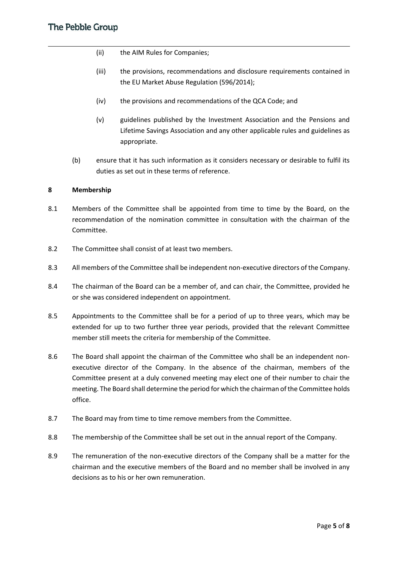- (ii) the AIM Rules for Companies;
- (iii) the provisions, recommendations and disclosure requirements contained in the EU Market Abuse Regulation (596/2014);
- (iv) the provisions and recommendations of the QCA Code; and
- (v) guidelines published by the Investment Association and the Pensions and Lifetime Savings Association and any other applicable rules and guidelines as appropriate.
- (b) ensure that it has such information as it considers necessary or desirable to fulfil its duties as set out in these terms of reference.

# **8 Membership**

- 8.1 Members of the Committee shall be appointed from time to time by the Board, on the recommendation of the nomination committee in consultation with the chairman of the Committee.
- 8.2 The Committee shall consist of at least two members.
- 8.3 All members of the Committee shall be independent non-executive directors of the Company.
- 8.4 The chairman of the Board can be a member of, and can chair, the Committee, provided he or she was considered independent on appointment.
- 8.5 Appointments to the Committee shall be for a period of up to three years, which may be extended for up to two further three year periods, provided that the relevant Committee member still meets the criteria for membership of the Committee.
- 8.6 The Board shall appoint the chairman of the Committee who shall be an independent nonexecutive director of the Company. In the absence of the chairman, members of the Committee present at a duly convened meeting may elect one of their number to chair the meeting. The Board shall determine the period for which the chairman of the Committee holds office.
- 8.7 The Board may from time to time remove members from the Committee.
- 8.8 The membership of the Committee shall be set out in the annual report of the Company.
- 8.9 The remuneration of the non-executive directors of the Company shall be a matter for the chairman and the executive members of the Board and no member shall be involved in any decisions as to his or her own remuneration.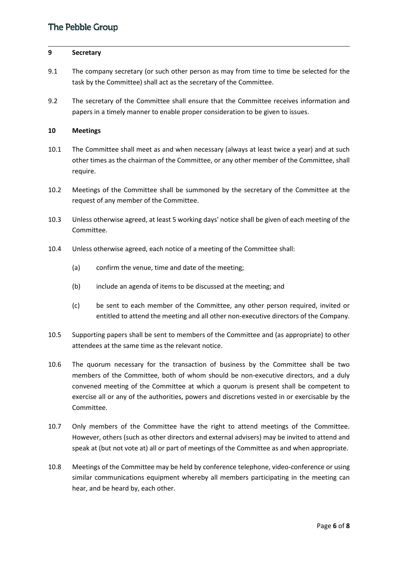### **9 Secretary**

- 9.1 The company secretary (or such other person as may from time to time be selected for the task by the Committee) shall act as the secretary of the Committee.
- 9.2 The secretary of the Committee shall ensure that the Committee receives information and papers in a timely manner to enable proper consideration to be given to issues.

## **10 Meetings**

- 10.1 The Committee shall meet as and when necessary (always at least twice a year) and at such other times as the chairman of the Committee, or any other member of the Committee, shall require.
- 10.2 Meetings of the Committee shall be summoned by the secretary of the Committee at the request of any member of the Committee.
- 10.3 Unless otherwise agreed, at least 5 working days' notice shall be given of each meeting of the Committee.
- 10.4 Unless otherwise agreed, each notice of a meeting of the Committee shall:
	- (a) confirm the venue, time and date of the meeting;
	- (b) include an agenda of items to be discussed at the meeting; and
	- (c) be sent to each member of the Committee, any other person required, invited or entitled to attend the meeting and all other non-executive directors of the Company.
- 10.5 Supporting papers shall be sent to members of the Committee and (as appropriate) to other attendees at the same time as the relevant notice.
- 10.6 The quorum necessary for the transaction of business by the Committee shall be two members of the Committee, both of whom should be non-executive directors, and a duly convened meeting of the Committee at which a quorum is present shall be competent to exercise all or any of the authorities, powers and discretions vested in or exercisable by the Committee.
- 10.7 Only members of the Committee have the right to attend meetings of the Committee. However, others (such as other directors and external advisers) may be invited to attend and speak at (but not vote at) all or part of meetings of the Committee as and when appropriate.
- 10.8 Meetings of the Committee may be held by conference telephone, video-conference or using similar communications equipment whereby all members participating in the meeting can hear, and be heard by, each other.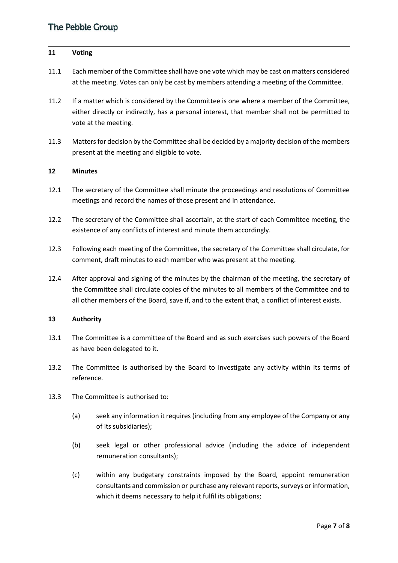### **11 Voting**

- 11.1 Each member of the Committee shall have one vote which may be cast on matters considered at the meeting. Votes can only be cast by members attending a meeting of the Committee.
- 11.2 If a matter which is considered by the Committee is one where a member of the Committee, either directly or indirectly, has a personal interest, that member shall not be permitted to vote at the meeting.
- 11.3 Matters for decision by the Committee shall be decided by a majority decision of the members present at the meeting and eligible to vote.

## **12 Minutes**

- 12.1 The secretary of the Committee shall minute the proceedings and resolutions of Committee meetings and record the names of those present and in attendance.
- 12.2 The secretary of the Committee shall ascertain, at the start of each Committee meeting, the existence of any conflicts of interest and minute them accordingly.
- 12.3 Following each meeting of the Committee, the secretary of the Committee shall circulate, for comment, draft minutes to each member who was present at the meeting.
- 12.4 After approval and signing of the minutes by the chairman of the meeting, the secretary of the Committee shall circulate copies of the minutes to all members of the Committee and to all other members of the Board, save if, and to the extent that, a conflict of interest exists.

## **13 Authority**

- 13.1 The Committee is a committee of the Board and as such exercises such powers of the Board as have been delegated to it.
- 13.2 The Committee is authorised by the Board to investigate any activity within its terms of reference.
- 13.3 The Committee is authorised to:
	- (a) seek any information it requires (including from any employee of the Company or any of its subsidiaries);
	- (b) seek legal or other professional advice (including the advice of independent remuneration consultants);
	- (c) within any budgetary constraints imposed by the Board, appoint remuneration consultants and commission or purchase any relevant reports, surveys or information, which it deems necessary to help it fulfil its obligations;